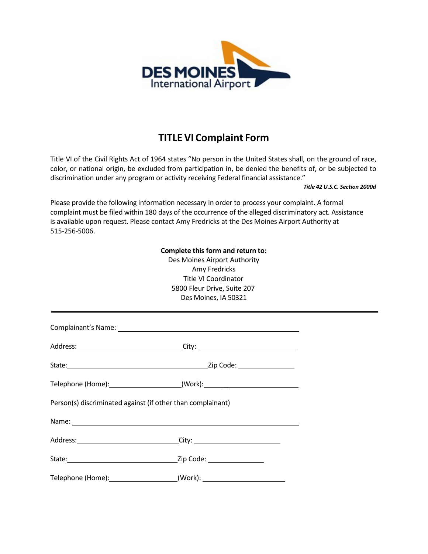

## **TITLE VI Complaint Form**

Title VI of the Civil Rights Act of 1964 states "No person in the United States shall, on the ground of race, color, or national origin, be excluded from participation in, be denied the benefits of, or be subjected to discrimination under any program or activity receiving Federal financial assistance."

*Title 42 U.S.C. Section 2000d*

Please provide the following information necessary in order to process your complaint. A formal complaint must be filed within 180 days of the occurrence of the alleged discriminatory act. Assistance is available upon request. Please contact Amy Fredricks at the Des Moines Airport Authority at 515-256-5006.

## **Complete this form and return to:**

Des Moines Airport Authority Amy Fredricks Title VI Coordinator 5800 Fleur Drive, Suite 207 Des Moines, IA 50321

|                                                             | Address: _________________________________City: ________________________________ |  |
|-------------------------------------------------------------|----------------------------------------------------------------------------------|--|
|                                                             |                                                                                  |  |
|                                                             | Telephone (Home): ______________________(Work): ________________________________ |  |
| Person(s) discriminated against (if other than complainant) |                                                                                  |  |
|                                                             |                                                                                  |  |
|                                                             | Address: ________________________________City: _________________________________ |  |
|                                                             | State: <u>Zip Code:</u> Zip Code:                                                |  |
|                                                             | Telephone (Home): _____________________(Work): _________________________________ |  |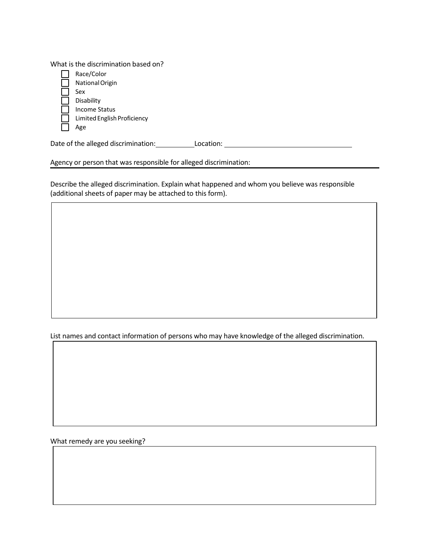What is the discrimination based on?

| Race/Color                  |
|-----------------------------|
| National Origin             |
| Sex                         |
| Disability                  |
| Income Status               |
| Limited English Proficiency |
|                             |

Date of the alleged discrimination: Location: Location: \_\_\_\_\_\_\_\_\_\_\_\_\_\_\_\_\_\_\_\_\_\_\_\_\_

Agency or person that was responsible for alleged discrimination:

Describe the alleged discrimination. Explain what happened and whom you believe was responsible (additional sheets of paper may be attached to this form).

List names and contact information of persons who may have knowledge of the alleged discrimination.

What remedy are you seeking?